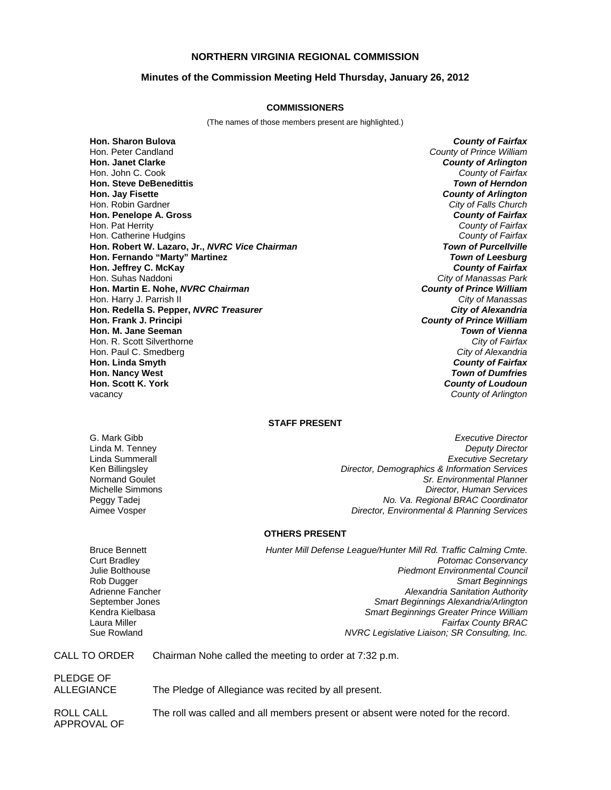# **NORTHERN VIRGINIA REGIONAL COMMISSION**

## **Minutes of the Commission Meeting Held Thursday, January 26, 2012**

#### **COMMISSIONERS**

(The names of those members present are highlighted.)

**Hon. Sharon Bulova** *County of Fairfax* Hon. Peter Candland *County of Prince William* Hon. John C. Cook *County of Fairfax* **Hon. Steve DeBenedittis** *Town of Herndon* **Hon. Jay Fisette** *County of Arlington* Hon. Robin Gardner *City of Falls Church* **Hon. Penelope A. Gross** *County of Fairfax* Hon. Pat Herrity *County of Fairfax* **Hon. Catherine Hudgins Hon. Robert W. Lazaro, Jr.,** *NVRC Vice Chairman Town of Purcellville* **Hon. Fernando "Marty" Martinez Hon. Jeffrey C. McKay** *County of Fairfax* Hon. Suhas Naddoni *City of Manassas Park* **Hon. Martin E. Nohe,** *NVRC Chairman County of Prince William* Hon. Harry J. Parrish II *City of Manassas* **Hon. Redella S. Pepper,** *NVRC Treasurer City of Alexandria* **Hon. Frank J. Principi** *County of Prince William* **Hon. M. Jane Seeman** *Town of Vienna* Hon. R. Scott Silverthorne *City of Fairfax* Hon. Paul C. Smedberg **Hon. Linda Smyth** *County of Fairfax* **Hon. Nancy West** *Town of Dumfries* vacancy *County of Arlington*

**County of Arlington County of Loudoun** 

## **STAFF PRESENT**

G. Mark Gibb *Executive Director* **Deputy Director** Linda Summerall *Executive Secretary* Ken Billingsley *Director, Demographics & Information Services* Normand Goulet *Sr. Environmental Planner* Michelle Simmons *Director, Human Services* Peggy Tadej *No. Va. Regional BRAC Coordinator* Aimee Vosper *Director, Environmental & Planning Services*

#### **OTHERS PRESENT**

Bruce Bennett *Hunter Mill Defense League/Hunter Mill Rd. Traffic Calming Cmte.* Curt Bradley *Potomac Conservancy* Julie Bolthouse *Piedmont Environmental Council* Rob Dugger *Smart Beginnings* Adrienne Fancher *Alexandria Sanitation Authority* September Jones *Smart Beginnings Alexandria/Arlington* Kendra Kielbasa *Smart Beginnings Greater Prince William* Laura Miller *Fairfax County BRAC* Sue Rowland *NVRC Legislative Liaison; SR Consulting, Inc.*

CALL TO ORDER Chairman Nohe called the meeting to order at 7:32 p.m.

PLEDGE OF

ALLEGIANCE The Pledge of Allegiance was recited by all present.

ROLL CALL The roll was called and all members present or absent were noted for the record. APPROVAL OF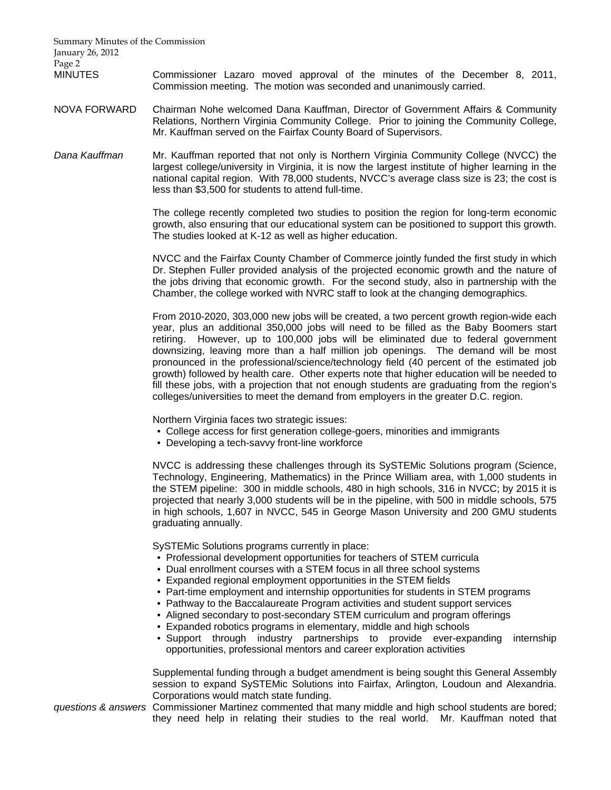Summary Minutes of the Commission January 26, 2012 Page 2

MINUTES Commissioner Lazaro moved approval of the minutes of the December 8, 2011, Commission meeting. The motion was seconded and unanimously carried.

- NOVA FORWARD Chairman Nohe welcomed Dana Kauffman, Director of Government Affairs & Community Relations, Northern Virginia Community College. Prior to joining the Community College, Mr. Kauffman served on the Fairfax County Board of Supervisors.
- *Dana Kauffman* Mr. Kauffman reported that not only is Northern Virginia Community College (NVCC) the largest college/university in Virginia, it is now the largest institute of higher learning in the national capital region. With 78,000 students, NVCC's average class size is 23; the cost is less than \$3,500 for students to attend full-time.

 The college recently completed two studies to position the region for long-term economic growth, also ensuring that our educational system can be positioned to support this growth. The studies looked at K-12 as well as higher education.

 NVCC and the Fairfax County Chamber of Commerce jointly funded the first study in which Dr. Stephen Fuller provided analysis of the projected economic growth and the nature of the jobs driving that economic growth. For the second study, also in partnership with the Chamber, the college worked with NVRC staff to look at the changing demographics.

 From 2010-2020, 303,000 new jobs will be created, a two percent growth region-wide each year, plus an additional 350,000 jobs will need to be filled as the Baby Boomers start retiring. However, up to 100,000 jobs will be eliminated due to federal government downsizing, leaving more than a half million job openings. The demand will be most pronounced in the professional/science/technology field (40 percent of the estimated job growth) followed by health care. Other experts note that higher education will be needed to fill these jobs, with a projection that not enough students are graduating from the region's colleges/universities to meet the demand from employers in the greater D.C. region.

Northern Virginia faces two strategic issues:

- College access for first generation college-goers, minorities and immigrants
- Developing a tech-savvy front-line workforce

NVCC is addressing these challenges through its SySTEMic Solutions program (Science, Technology, Engineering, Mathematics) in the Prince William area, with 1,000 students in the STEM pipeline: 300 in middle schools, 480 in high schools, 316 in NVCC; by 2015 it is projected that nearly 3,000 students will be in the pipeline, with 500 in middle schools, 575 in high schools, 1,607 in NVCC, 545 in George Mason University and 200 GMU students graduating annually.

SySTEMic Solutions programs currently in place:

- Professional development opportunities for teachers of STEM curricula
- Dual enrollment courses with a STEM focus in all three school systems
- Expanded regional employment opportunities in the STEM fields
- Part-time employment and internship opportunities for students in STEM programs
- Pathway to the Baccalaureate Program activities and student support services
- Aligned secondary to post-secondary STEM curriculum and program offerings
- Expanded robotics programs in elementary, middle and high schools
- Support through industry partnerships to provide ever-expanding internship opportunities, professional mentors and career exploration activities

Supplemental funding through a budget amendment is being sought this General Assembly session to expand SySTEMic Solutions into Fairfax, Arlington, Loudoun and Alexandria. Corporations would match state funding.

*questions & answers* Commissioner Martinez commented that many middle and high school students are bored; they need help in relating their studies to the real world. Mr. Kauffman noted that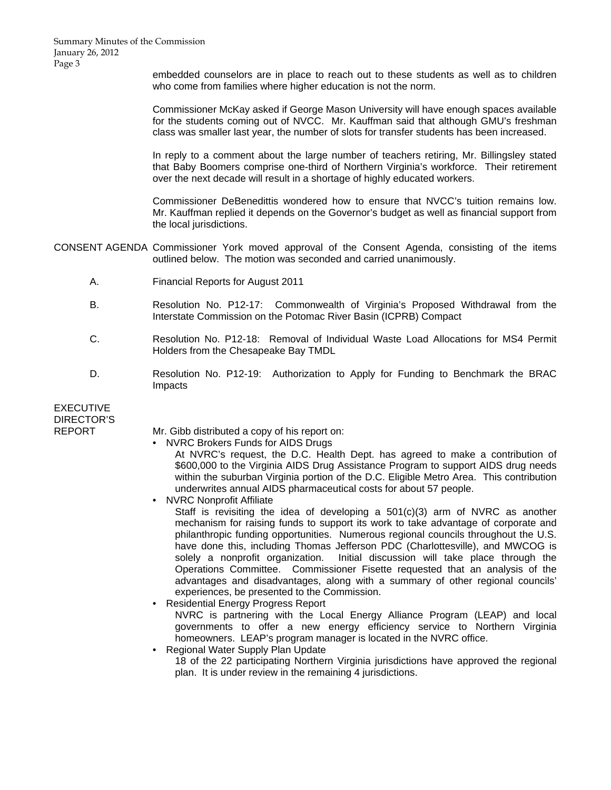Summary Minutes of the Commission January 26, 2012 Page 3

> embedded counselors are in place to reach out to these students as well as to children who come from families where higher education is not the norm.

> Commissioner McKay asked if George Mason University will have enough spaces available for the students coming out of NVCC. Mr. Kauffman said that although GMU's freshman class was smaller last year, the number of slots for transfer students has been increased.

> In reply to a comment about the large number of teachers retiring, Mr. Billingsley stated that Baby Boomers comprise one-third of Northern Virginia's workforce. Their retirement over the next decade will result in a shortage of highly educated workers.

> Commissioner DeBenedittis wondered how to ensure that NVCC's tuition remains low. Mr. Kauffman replied it depends on the Governor's budget as well as financial support from the local jurisdictions.

CONSENT AGENDA Commissioner York moved approval of the Consent Agenda, consisting of the items outlined below. The motion was seconded and carried unanimously.

- A. Financial Reports for August 2011
- B. Resolution No. P12-17: Commonwealth of Virginia's Proposed Withdrawal from the Interstate Commission on the Potomac River Basin (ICPRB) Compact
- C. Resolution No. P12-18: Removal of Individual Waste Load Allocations for MS4 Permit Holders from the Chesapeake Bay TMDL
- D. Resolution No. P12-19: Authorization to Apply for Funding to Benchmark the BRAC Impacts

| EXECUTIVE  |  |
|------------|--|
| DIRECTOR'S |  |
| REPORT     |  |
|            |  |

 $=$   $\cdot$   $=$   $\sim$   $\cdot$   $\cdot$   $\sim$ 

Mr. Gibb distributed a copy of his report on:

- NVRC Brokers Funds for AIDS Drugs
	- At NVRC's request, the D.C. Health Dept. has agreed to make a contribution of \$600,000 to the Virginia AIDS Drug Assistance Program to support AIDS drug needs within the suburban Virginia portion of the D.C. Eligible Metro Area. This contribution underwrites annual AIDS pharmaceutical costs for about 57 people.

• NVRC Nonprofit Affiliate

Staff is revisiting the idea of developing a  $501(c)(3)$  arm of NVRC as another mechanism for raising funds to support its work to take advantage of corporate and philanthropic funding opportunities. Numerous regional councils throughout the U.S. have done this, including Thomas Jefferson PDC (Charlottesville), and MWCOG is solely a nonprofit organization. Initial discussion will take place through the Operations Committee. Commissioner Fisette requested that an analysis of the advantages and disadvantages, along with a summary of other regional councils' experiences, be presented to the Commission.

• Residential Energy Progress Report NVRC is partnering with the Local Energy Alliance Program (LEAP) and local governments to offer a new energy efficiency service to Northern Virginia homeowners. LEAP's program manager is located in the NVRC office.

• Regional Water Supply Plan Update 18 of the 22 participating Northern Virginia jurisdictions have approved the regional plan. It is under review in the remaining 4 jurisdictions.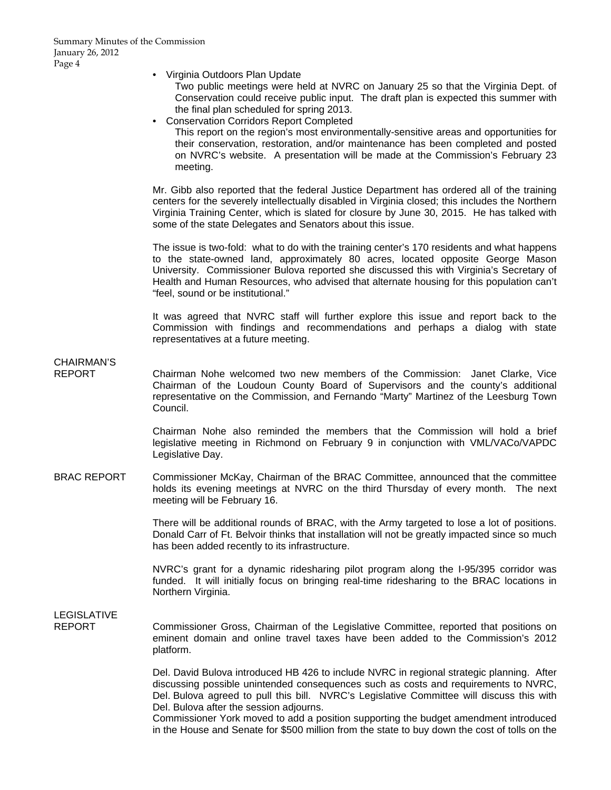• Virginia Outdoors Plan Update

Two public meetings were held at NVRC on January 25 so that the Virginia Dept. of Conservation could receive public input. The draft plan is expected this summer with the final plan scheduled for spring 2013.

• Conservation Corridors Report Completed This report on the region's most environmentally-sensitive areas and opportunities for their conservation, restoration, and/or maintenance has been completed and posted on NVRC's website. A presentation will be made at the Commission's February 23 meeting.

Mr. Gibb also reported that the federal Justice Department has ordered all of the training centers for the severely intellectually disabled in Virginia closed; this includes the Northern Virginia Training Center, which is slated for closure by June 30, 2015. He has talked with some of the state Delegates and Senators about this issue.

The issue is two-fold: what to do with the training center's 170 residents and what happens to the state-owned land, approximately 80 acres, located opposite George Mason University. Commissioner Bulova reported she discussed this with Virginia's Secretary of Health and Human Resources, who advised that alternate housing for this population can't "feel, sound or be institutional."

It was agreed that NVRC staff will further explore this issue and report back to the Commission with findings and recommendations and perhaps a dialog with state representatives at a future meeting.

CHAIRMAN'S

REPORT Chairman Nohe welcomed two new members of the Commission: Janet Clarke, Vice Chairman of the Loudoun County Board of Supervisors and the county's additional representative on the Commission, and Fernando "Marty" Martinez of the Leesburg Town Council.

> Chairman Nohe also reminded the members that the Commission will hold a brief legislative meeting in Richmond on February 9 in conjunction with VML/VACo/VAPDC Legislative Day.

BRAC REPORT Commissioner McKay, Chairman of the BRAC Committee, announced that the committee holds its evening meetings at NVRC on the third Thursday of every month. The next meeting will be February 16.

> There will be additional rounds of BRAC, with the Army targeted to lose a lot of positions. Donald Carr of Ft. Belvoir thinks that installation will not be greatly impacted since so much has been added recently to its infrastructure.

> NVRC's grant for a dynamic ridesharing pilot program along the I-95/395 corridor was funded. It will initially focus on bringing real-time ridesharing to the BRAC locations in Northern Virginia.

# LEGISLATIVE

REPORT Commissioner Gross, Chairman of the Legislative Committee, reported that positions on eminent domain and online travel taxes have been added to the Commission's 2012 platform.

> Del. David Bulova introduced HB 426 to include NVRC in regional strategic planning. After discussing possible unintended consequences such as costs and requirements to NVRC, Del. Bulova agreed to pull this bill. NVRC's Legislative Committee will discuss this with Del. Bulova after the session adjourns.

> Commissioner York moved to add a position supporting the budget amendment introduced in the House and Senate for \$500 million from the state to buy down the cost of tolls on the